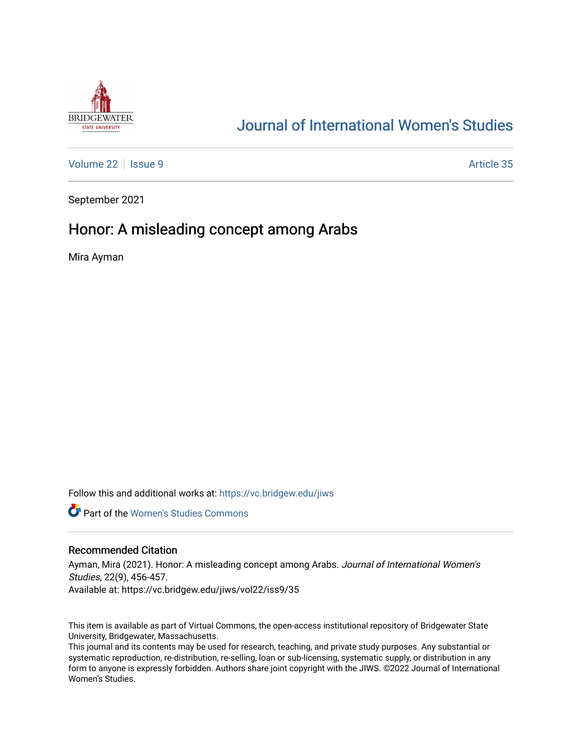

# [Journal of International Women's Studies](https://vc.bridgew.edu/jiws)

[Volume 22](https://vc.bridgew.edu/jiws/vol22) | [Issue 9](https://vc.bridgew.edu/jiws/vol22/iss9) Article 35

September 2021

## Honor: A misleading concept among Arabs

Mira Ayman

Follow this and additional works at: [https://vc.bridgew.edu/jiws](https://vc.bridgew.edu/jiws?utm_source=vc.bridgew.edu%2Fjiws%2Fvol22%2Fiss9%2F35&utm_medium=PDF&utm_campaign=PDFCoverPages)

**C** Part of the Women's Studies Commons

## Recommended Citation

Ayman, Mira (2021). Honor: A misleading concept among Arabs. Journal of International Women's Studies, 22(9), 456-457. Available at: https://vc.bridgew.edu/jiws/vol22/iss9/35

This item is available as part of Virtual Commons, the open-access institutional repository of Bridgewater State University, Bridgewater, Massachusetts.

This journal and its contents may be used for research, teaching, and private study purposes. Any substantial or systematic reproduction, re-distribution, re-selling, loan or sub-licensing, systematic supply, or distribution in any form to anyone is expressly forbidden. Authors share joint copyright with the JIWS. ©2022 Journal of International Women's Studies.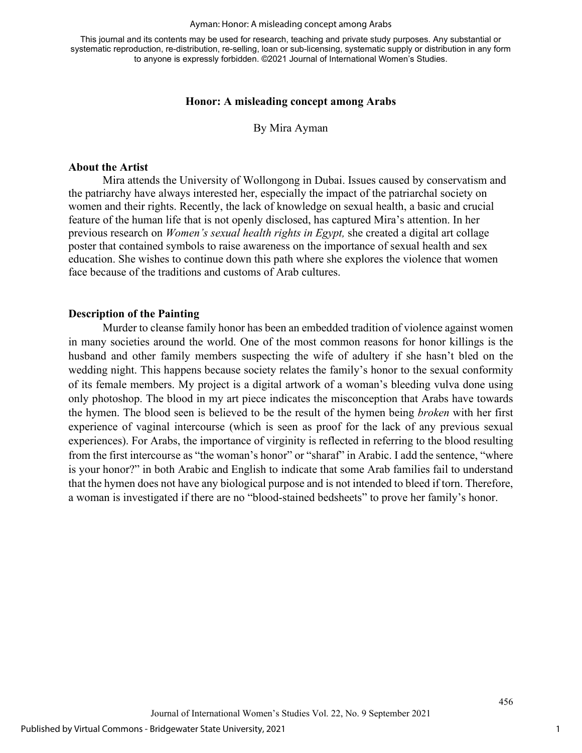#### Ayman: Honor: A misleading concept among Arabs

This journal and its contents may be used for research, teaching and private study purposes. Any substantial or systematic reproduction, re-distribution, re-selling, loan or sub-licensing, systematic supply or distribution in any form to anyone is expressly forbidden. ©2021 Journal of International Women's Studies.

## **Honor: A misleading concept among Arabs**

By Mira Ayman

## **About the Artist**

 Mira attends the University of Wollongong in Dubai. Issues caused by conservatism and the patriarchy have always interested her, especially the impact of the patriarchal society on women and their rights. Recently, the lack of knowledge on sexual health, a basic and crucial feature of the human life that is not openly disclosed, has captured Mira's attention. In her previous research on *Women's sexual health rights in Egypt,* she created a digital art collage poster that contained symbols to raise awareness on the importance of sexual health and sex education. She wishes to continue down this path where she explores the violence that women face because of the traditions and customs of Arab cultures.

## **Description of the Painting**

Murder to cleanse family honor has been an embedded tradition of violence against women in many societies around the world. One of the most common reasons for honor killings is the husband and other family members suspecting the wife of adultery if she hasn't bled on the wedding night. This happens because society relates the family's honor to the sexual conformity of its female members. My project is a digital artwork of a woman's bleeding vulva done using only photoshop. The blood in my art piece indicates the misconception that Arabs have towards the hymen. The blood seen is believed to be the result of the hymen being *broken* with her first experience of vaginal intercourse (which is seen as proof for the lack of any previous sexual experiences). For Arabs, the importance of virginity is reflected in referring to the blood resulting from the first intercourse as "the woman's honor" or "sharaf" in Arabic. I add the sentence, "where is your honor?" in both Arabic and English to indicate that some Arab families fail to understand that the hymen does not have any biological purpose and is not intended to bleed if torn. Therefore, a woman is investigated if there are no "blood-stained bedsheets" to prove her family's honor.

456